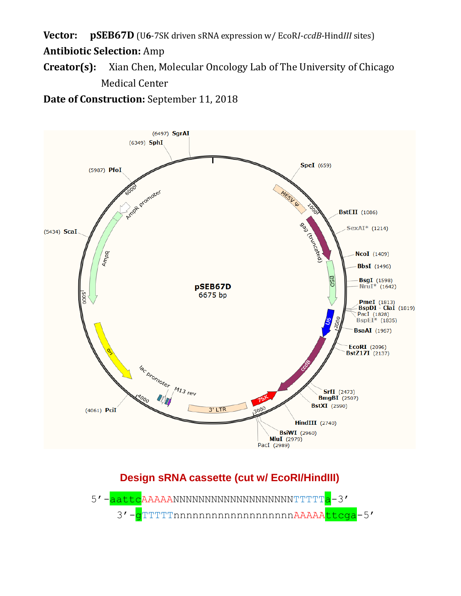**Vector: pSEB67D** (U**6**-7SK driven sRNA expression w/ EcoR*I*-*ccdB*-Hind*III* sites)

## **Antibiotic Selection:** Amp

**Creator(s):** Xian Chen, Molecular Oncology Lab of The University of Chicago Medical Center

**Date of Construction:** September 11, 2018



# **Design sRNA cassette (cut w/ EcoRI/HindIII)**

5'-<mark>aattc</mark>AAAAANNNNNNNNNNNNNNNNNNNNTTTT<mark>a</mark>-3' 3'-gTTTTTnnnnnnnnnnnnnnnnnnAAAAAttcga-5'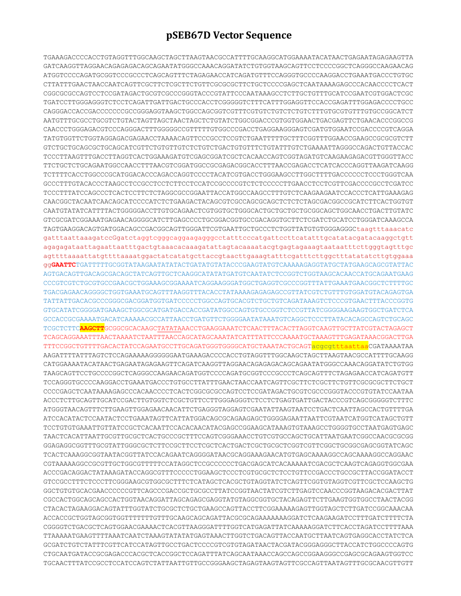## **pSEB67D Vector Sequence**

TGAAAGACCCCACCTGTAGGTTTGGCAAGCTAGCTTAAGTAACGCCATTTTGCAAGGCATGGAAAATACATAACTGAGAATAGAGAAGTTA GATCAAGGTTAGGAACAGAGAGACAGCAGAATATGGGCCAAACAGGATATCTGTGGTAAGCAGTTCCTCCCCGGCTCAGGGCCAAGAACAG ATGGTCCCCAGATGCGGTCCCGCCCTCAGCAGTTTCTAGAGAACCATCAGATGTTTCCAGGGTGCCCCAAGGACCTGAAATGACCCTGTGC CTTATTTGAACTAACCAATCAGTTCGCTTCTCGCTTCTGTTCGCGCGCTTCTGCTCCCCGAGCTCAATAAAAGAGCCCACAACCCCTCACT CGGCGCGCCAGTCCTCCGATAGACTGCGTCGCCCGGGTACCCGTATTCCCAATAAAGCCTCTTGCTGTTTGCATCCGAATCGTGGACTCGC TGATCCTTGGGAGGGTCTCCTCAGATTGATTGACTGCCCACCTCGGGGGTCTTTCATTTGGAGGTTCCACCGAGATTTGGAGACCCCTGCC CAGGGACCACCGACCCCCCCGCCGGGAGGTAAGCTGGCCAGCGGTCGTTTCGTGTCTGTCTCTGTCTTTGTGCGTGTTTGTGCCGGCATCT AATGTTTGCGCCTGCGTCTGTACTAGTTAGCTAACTAGCTCTGTATCTGGCGGACCCGTGGTGGAACTGACGAGTTCTGAACACCCGGCCG CAACCCTGGGAGACGTCCCAGGGACTTTGGGGGCCGTTTTTGTGGCCCGACCTGAGGAAGGGAGTCGATGTGGAATCCGACCCCGTCAGGA TATGTGGTTCTGGTAGGAGACGAGAACCTAAAACAGTTCCCGCCTCCGTCTGAATTTTTGCTTTCGGTTTGGAACCGAAGCCGCGCGTCTT GTCTGCTGCAGCGCTGCAGCATCGTTCTGTGTTGTCTCTGTCTGACTGTGTTTCTGTATTTGTCTGAAAATTAGGGCCAGACTGTTACCAC TCCCTTAAGTTTGACCTTAGGTCACTGGAAAGATGTCGAGCGGATCGCTCACAACCAGTCGGTAGATGTCAAGAAGAGACGTTGGGTTACC TTCTGCTCTGCAGAATGGCCAACCTTTAACGTCGGATGGCCGCGAGACGGCACCTTTAACCGAGACCTCATCACCCAGGTTAAGATCAAGG TCTTTTCACCTGGCCCGCATGGACACCCAGACCAGGTCCCCTACATCGTGACCTGGGAAGCCTTGGCTTTTGACCCCCCTCCCTGGGTCAA GCCCTTTGTACACCCTAAGCCTCCGCCTCCTCTTCCTCCATCCGCCCCGTCTCTCCCCCTTGAACCTCCTCGTTCGACCCCGCCTCGATCC TCCCTTTATCCAGCCCTCACTCCTTCTCTAGGCGCCGGAATTACCATGGCCAAGCCTTTGTCTCAAGAAGAATCCACCCTCATTGAAAGAG CAACGGCTACAATCAACAGCATCCCCATCTCTGAAGACTACAGCGTCGCCAGCGCAGCTCTCTCTAGCGACGGCCGCATCTTCACTGGTGT CAATGTATATCATTTTACTGGGGGACCTTGTGCAGAACTCGTGGTGCTGGGCACTGCTGCTGCTGCGGCAGCTGGCAACCTGACTTGTATC GTCGCGATCGGAAATGAGAACAGGGGCATCTTGAGCCCCTGCGGACGGTGCCGACAGGTGCTTCTCGATCTGCATCCTGGGATCAAAGCCA TAGTGAAGGACAGTGATGGACAGCCGACGGCAGTTGGGATTCGTGAATTGCTGCCCTCTGGTTATGTGTGGGAGGGCtaagtttaaacatc gatttaattaaagatccGgatctaggtcgggcaggaagagggcctatttcccatgattccttcatatttgcatatacgatacaaggctgtt agagagataattagaattaatttgactgtaaacacaaagatattagtacaaaatacgtgagtagaaagtaataatttcttgggtagtttgc agttttaaaattatgttttaaaatggactatcatatgcttaccgtaacttgaaagtatttcgatttcttggctttatatatcttgtggaaa gg**GAATTC**TGATTTTTGCGGTATAAGAATATATACTGATATGTATACCCGAAGTATGTCAAAAAGAGGTATGCTATGAAGCAGCGTATTAC AGTGACAGTTGACAGCGACAGCTATCAGTTGCTCAAGGCATATATGATGTCAATATCTCCGGTCTGGTAAGCACAACCATGCAGAATGAAG CCCGTCGTCTGCGTGCCGAACGCTGGAAAGCGGAAAATCAGGAAGGGATGGCTGAGGTCGCCCGGTTTATTGAAATGAACGGCTCTTTTGC TGACGAGAACAGGGGCTGGTGAAATGCAGTTTAAGGTTTACACCTATAAAAGAGAGAGCCGTTATCGTCTGTTTGTGGATGTACAGAGTGA TATTATTGACACGCCCGGGCGACGGATGGTGATCCCCCTGGCCAGTGCACGTCTGCTGTCAGATAAAGTCTCCCGTGAACTTTACCCGGTG GTGCATATCGGGGATGAAAGCTGGCGCATGATGACCACCGATATGGCCAGTGTGCCGGTCTCCGTTATCGGGGAAGAAGTGGCTGATCTCA GCCACCGCGAAAATGACATCAAAAACGCCATTAACCTGATGTTCTGGGGAATATAAATGTCAGGCTCCCTTATACACAGCCAGTCTGCAGC TCGCTCTTC**AAGCTT**GCGGCGCACAAGCTATATAAACCTGAAGGAAATCTCAACTTTACACTTAGGTCAAGTTGCTTATCGTACTAGAGCT TCAGCAGGAAATTTAACTAAAATCTAATTTAACCAGCATAGCAAATATCATTTATTCCCAAAATGCTAAAGTTTGAGATAAACGGACTTGA TTTCCGGCTGTTTTGACACTATCCAGAATGCCTTGCAGATGGGTGGGGCATGCTAAATACTGCAGTacgcgtttaattaaCGATAAAATAA AAGATTTTATTTAGTCTCCAGAAAAAGGGGGGAATGAAAGACCCCACCTGTAGGTTTGGCAAGCTAGCTTAAGTAACGCCATTTTGCAAGG CATGGAAAATACATAACTGAGAATAGAGAAGTTCAGATCAAGGTTAGGAACAGAGAGACAGCAGAATATGGGCCAAACAGGATATCTGTGG TAAGCAGTTCCTGCCCCGGCTCAGGGCCAAGAACAGATGGTCCCCAGATGCGGTCCCGCCCTCAGCAGTTTCTAGAGAACCATCAGATGTT TCCAGGGTGCCCCAAGGACCTGAAATGACCCTGTGCCTTATTTGAACTAACCAATCAGTTCGCTTCTCGCTTCTGTTCGCGCGCTTCTGCT CCCCGAGCTCAATAAAAGAGCCCACAACCCCTCACTCGGCGCGCCAGTCCTCCGATAGACTGCGTCGCCCGGGTACCCGTGTATCCAATAA ACCCTCTTGCAGTTGCATCCGACTTGTGGTCTCGCTGTTCCTTGGGAGGGTCTCCTCTGAGTGATTGACTACCCGTCAGCGGGGGTCTTTC ATGGGTAACAGTTTCTTGAAGTTGGAGAACAACATTCTGAGGGTAGGAGTCGAATATTAAGTAATCCTGACTCAATTAGCCACTGTTTTGA ATCCACATACTCCAATACTCCTGAAATAGTTCATTATGGACAGCGCAGAAGAGCTGGGGAGAATTAATTCGTAATCATGGTCATAGCTGTT TCCTGTGTGAAATTGTTATCCGCTCACAATTCCACACAACATACGAGCCGGAAGCATAAAGTGTAAAGCCTGGGGTGCCTAATGAGTGAGC TAACTCACATTAATTGCGTTGCGCTCACTGCCCGCTTTCCAGTCGGGAAACCTGTCGTGCCAGCTGCATTAATGAATCGGCCAACGCGCGG GGAGAGGCGGTTTGCGTATTGGGCGCTCTTCCGCTTCCTCGCTCACTGACTCGCTGCGCTCGGTCGTTCGGCTGCGGCGAGCGGTATCAGC TCACTCAAAGGCGGTAATACGGTTATCCACAGAATCAGGGGATAACGCAGGAAAGAACATGTGAGCAAAAGGCCAGCAAAAGGCCAGGAAC CGTAAAAAGGCCGCGTTGCTGGCGTTTTTCCATAGGCTCCGCCCCCCTGACGAGCATCACAAAAATCGACGCTCAAGTCAGAGGTGGCGAA ACCCGACAGGACTATAAAGATACCAGGCGTTTCCCCCTGGAAGCTCCCTCGTGCGCTCTCCTGTTCCGACCCTGCCGCTTACCGGATACCT GTCCGCCTTTCTCCCTTCGGGAAGCGTGGCGCTTTCTCATAGCTCACGCTGTAGGTATCTCAGTTCGGTGTAGGTCGTTCGCTCCAAGCTG GGCTGTGTGCACGAACCCCCCGTTCAGCCCGACCGCTGCGCCTTATCCGGTAACTATCGTCTTGAGTCCAACCCGGTAAGACACGACTTAT CGCCACTGGCAGCAGCCACTGGTAACAGGATTAGCAGAGCGAGGTATGTAGGCGGTGCTACAGAGTTCTTGAAGTGGTGGCCTAACTACGG CTACACTAGAAGGACAGTATTTGGTATCTGCGCTCTGCTGAAGCCAGTTACCTTCGGAAAAAGAGTTGGTAGCTCTTGATCCGGCAAACAA ACCACCGCTGGTAGCGGTGGTTTTTTTGTTTGCAAGCAGCAGATTACGCGCAGAAAAAAAGGATCTCAAGAAGATCCTTTGATCTTTTCTA CGGGGTCTGACGCTCAGTGGAACGAAAACTCACGTTAAGGGATTTTGGTCATGAGATTATCAAAAAGGATCTTCACCTAGATCCTTTTAAA TTAAAAATGAAGTTTTAAATCAATCTAAAGTATATATGAGTAAACTTGGTCTGACAGTTACCAATGCTTAATCAGTGAGGCACCTATCTCA GCGATCTGTCTATTTCGTTCATCCATAGTTGCCTGACTCCCCGTCGTGTAGATAACTACGATACGGGAGGGCTTACCATCTGGCCCCAGTG CTGCAATGATACCGCGAGACCCACGCTCACCGGCTCCAGATTTATCAGCAATAAACCAGCCAGCCGGAAGGGCCGAGCGCAGAAGTGGTCC TGCAACTTTATCCGCCTCCATCCAGTCTATTAATTGTTGCCGGGAAGCTAGAGTAAGTAGTTCGCCAGTTAATAGTTTGCGCAACGTTGTT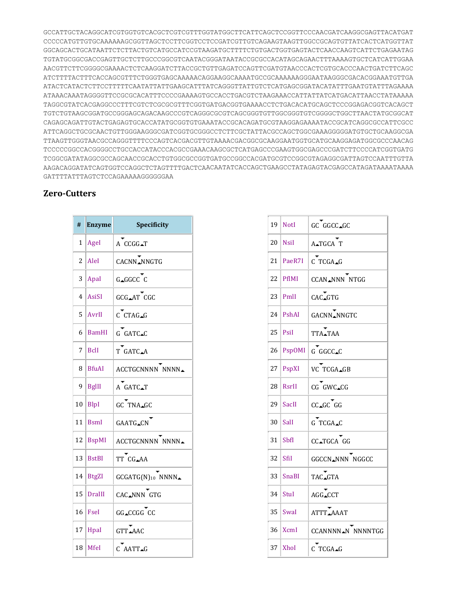GCCATTGCTACAGGCATCGTGGTGTCACGCTCGTCGTTTGGTATGGCTTCATTCAGCTCCGGTTCCCAACGATCAAGGCGAGTTACATGAT CCCCCATGTTGTGCAAAAAAGCGGTTAGCTCCTTCGGTCCTCCGATCGTTGTCAGAAGTAAGTTGGCCGCAGTGTTATCACTCATGGTTAT GGCAGCACTGCATAATTCTCTTACTGTCATGCCATCCGTAAGATGCTTTTCTGTGACTGGTGAGTACTCAACCAAGTCATTCTGAGAATAG TGTATGCGGCGACCGAGTTGCTCTTGCCCGGCGTCAATACGGGATAATACCGCGCCACATAGCAGAACTTTAAAAGTGCTCATCATTGGAA AACGTTCTTCGGGGCGAAAACTCTCAAGGATCTTACCGCTGTTGAGATCCAGTTCGATGTAACCCACTCGTGCACCCAACTGATCTTCAGC ATCTTTTACTTTCACCAGCGTTTCTGGGTGAGCAAAAACAGGAAGGCAAAATGCCGCAAAAAAGGGAATAAGGGCGACACGGAAATGTTGA ATACTCATACTCTTCCTTTTTCAATATTATTGAAGCATTTATCAGGGTTATTGTCTCATGAGCGGATACATATTTGAATGTATTTAGAAAA ATAAACAAATAGGGGTTCCGCGCACATTTCCCCGAAAAGTGCCACCTGACGTCTAAGAAACCATTATTATCATGACATTAACCTATAAAAA TAGGCGTATCACGAGGCCCTTTCGTCTCGCGCGTTTCGGTGATGACGGTGAAAACCTCTGACACATGCAGCTCCCGGAGACGGTCACAGCT TGTCTGTAAGCGGATGCCGGGAGCAGACAAGCCCGTCAGGGCGCGTCAGCGGGTGTTGGCGGGTGTCGGGGCTGGCTTAACTATGCGGCAT CAGAGCAGATTGTACTGAGAGTGCACCATATGCGGTGTGAAATACCGCACAGATGCGTAAGGAGAAAATACCGCATCAGGCGCCATTCGCC ATTCAGGCTGCGCAACTGTTGGGAAGGGCGATCGGTGCGGGCCTCTTCGCTATTACGCCAGCTGGCGAAAGGGGGATGTGCTGCAAGGCGA TTAAGTTGGGTAACGCCAGGGTTTTCCCAGTCACGACGTTGTAAAACGACGGCGCAAGGAATGGTGCATGCAAGGAGATGGCGCCCAACAG TCCCCCGGCCACGGGGCCTGCCACCATACCCACGCCGAAACAAGCGCTCATGAGCCCGAAGTGGCGAGCCCGATCTTCCCCATCGGTGATG TCGGCGATATAGGCGCCAGCAACCGCACCTGTGGCGCCGGTGATGCCGGCCACGATGCGTCCGGCGTAGAGGCGATTAGTCCAATTTGTTA AAGACAGGATATCAGTGGTCCAGGCTCTAGTTTTGACTCAACAATATCACCAGCTGAAGCCTATAGAGTACGAGCCATAGATAAAATAAAA GATTTTATTTAGTCTCCAGAAAAAGGGGGGAA

#### **Zero-Cutters**

| #  | <b>Enzyme</b> | Specificity                  |
|----|---------------|------------------------------|
| 1  | Agel          | $A$ $CCGG - T$               |
| 2  | AleI          | CACNN_NNGTG                  |
| 3  | ApaI          | $G \triangle G G C C$ $C$    |
| 4  | AsiSI         | GCG_AT CGC                   |
| 5  | AvrII         | C CTAG_G                     |
| 6  | <b>BamHI</b>  | G GATC.C                     |
| 7  | <b>B</b> clI  | T GATC.A                     |
| 8  | <b>BfuAI</b>  | ACCTGCNNNN NNNN <sub>4</sub> |
| 9  | <b>BglII</b>  | A GATC_T                     |
| 10 | BlpI          | GC TNA_GC                    |
| 11 | BsmI          | <b>GAATG_CN</b>              |
| 12 | <b>BspMI</b>  | ACCTGCNNNN NNNN              |
| 13 | <b>BstBI</b>  | TT CG_AA                     |
| 14 | <b>BtgZI</b>  | GCGATG(N)10 NNNN_            |
| 15 | DraIII        | CAC.NNN GTG                  |
| 16 | <b>Fsel</b>   | GG_CCGG CC                   |
| 17 | Hpal          | GTT_AAC                      |
| 18 | Mfel          | $C$ AATT.G                   |

| 19 | <b>NotI</b>   | GC GGCC_GC                                      |
|----|---------------|-------------------------------------------------|
| 20 | <b>Nsil</b>   | A∡TGCA T                                        |
| 21 | PaeR7I        | $C$ TCGA <sub>-G</sub>                          |
| 22 | PflMI         | <b>CCAN_NNN NTGG</b>                            |
| 23 | PmlI          | CAC_GTG                                         |
| 24 | PshAI         | GACNN_NNGTC                                     |
| 25 | Psil          | TTA <sub>-TAA</sub>                             |
| 26 | <b>PspOMI</b> | G GGCC_C                                        |
| 27 | PspXI         | VC TCGA_GB                                      |
| 28 | RsrII         | $CG$ $GWC$ <sub><math>\triangle CG</math></sub> |
| 29 | SacII         | $CC\_GC$ $GG$                                   |
| 30 | Sall          | $G$ TCGA_C                                      |
| 31 | <b>SbfI</b>   | CC_TGCA GG                                      |
| 32 | SfiI          | <b>GGCCN_NNN NGGCC</b>                          |
| 33 | <b>SnaBI</b>  | TAC_GTA                                         |
| 34 | StuI          | AGG_CCT                                         |
| 35 | Swal          | ATTT.AAAT                                       |
| 36 | <b>XcmI</b>   | CCANNNN <sub>AN</sub> NNNNTGG                   |
| 37 | Xhol          | C TCGA.G                                        |